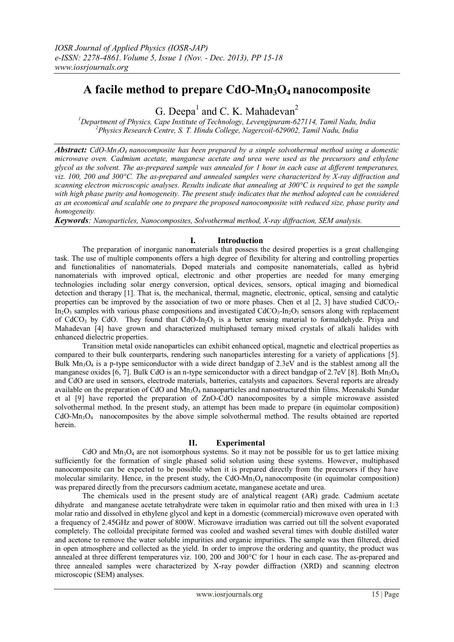# **A facile method to prepare CdO-Mn3O4 nanocomposite**

G. Deepa<sup>1</sup> and C. K. Mahadevan<sup>2</sup>

*<sup>1</sup>Department of Physics, Cape Institute of Technology, Levengipuram-627114, Tamil Nadu, India <sup>2</sup>Physics Research Centre, S. T. Hindu College, Nagercoil-629002, Tamil Nadu, India*

*Abstract:* CdO-Mn<sub>3</sub> $O_4$  *nanocomposite has been prepared by a simple solvothermal method using a domestic microwave oven. Cadmium acetate, manganese acetate and urea were used as the precursors and ethylene glycol as the solvent. The as-prepared sample was annealed for 1 hour in each case at different temperatures, viz. 100, 200 and 300°C. The as-prepared and annealed samples were characterized by X-ray diffraction and scanning electron microscopic analyses. Results indicate that annealing at 300°C is required to get the sample*  with high phase purity and homogeneity. The present study indicates that the method adopted can be considered *as an economical and scalable one to prepare the proposed nanocomposite with reduced size, phase purity and homogeneity.*

*Keywords: Nanoparticles, Nanocomposites, Solvothermal method, X-ray diffraction, SEM analysis.*

### **I. Introduction**

 The preparation of inorganic nanomaterials that possess the desired properties is a great challenging task. The use of multiple components offers a high degree of flexibility for altering and controlling properties and functionalities of nanomaterials. Doped materials and composite nanomaterials, called as hybrid nanomaterials with improved optical, electronic and other properties are needed for many emerging technologies including solar energy conversion, optical devices, sensors, optical imaging and biomedical detection and therapy [1]. That is, the mechanical, thermal, magnetic, electronic, optical, sensing and catalytic properties can be improved by the association of two or more phases. Chen et al  $[2, 3]$  have studied CdCO<sub>3</sub>- $In_2O_3$  samples with various phase compositions and investigated CdCO<sub>3</sub>-In<sub>2</sub>O<sub>3</sub> sensors along with replacement of CdCO<sub>3</sub> by CdO. They found that CdO-In<sub>2</sub>O<sub>3</sub> is a better sensing material to formaldehyde. Priya and Mahadevan [4] have grown and characterized multiphased ternary mixed crystals of alkali halides with enhanced dielectric properties.

 Transition metal oxide nanoparticles can exhibit enhanced optical, magnetic and electrical properties as compared to their bulk counterparts, rendering such nanoparticles interesting for a variety of applications [5]. Bulk  $Mn_3O_4$  is a p-type semiconductor with a wide direct bandgap of 2.3eV and is the stablest among all the manganese oxides [6, 7]. Bulk CdO is an n-type semiconductor with a direct bandgap of 2.7eV [8]. Both  $Mn_3O_4$ and CdO are used in sensors, electrode materials, batteries, catalysts and capacitors. Several reports are already available on the preparation of CdO and  $Mn_3O_4$  nanaoparticles and nanostructured thin films. Meenakshi Sundar et al [9] have reported the preparation of ZnO-CdO nanocomposites by a simple microwave assisted solvothermal method. In the present study, an attempt has been made to prepare (in equimolar composition)  $CdO-Mn<sub>3</sub>O<sub>4</sub>$  nanocomposites by the above simple solvothermal method. The results obtained are reported herein.

### **II. Experimental**

CdO and  $Mn_3O_4$  are not isomorphous systems. So it may not be possible for us to get lattice mixing sufficiently for the formation of single phased solid solution using these systems. However, multiphased nanocomposite can be expected to be possible when it is prepared directly from the precursors if they have molecular similarity. Hence, in the present study, the CdO-Mn<sub>3</sub>O<sub>4</sub> nanocomposite (in equimolar composition) was prepared directly from the precursors cadmium acetate, manganese acetate and urea.

 The chemicals used in the present study are of analytical reagent (AR) grade. Cadmium acetate dihydrate and manganese acetate tetrahydrate were taken in equimolar ratio and then mixed with urea in 1:3 molar ratio and dissolved in ethylene glycol and kept in a domestic (commercial) microwave oven operated with a frequency of 2.45GHz and power of 800W. Microwave irradiation was carried out till the solvent evaporated completely. The colloidal precipitate formed was cooled and washed several times with double distilled water and acetone to remove the water soluble impurities and organic impurities. The sample was then filtered, dried in open atmosphere and collected as the yield. In order to improve the ordering and quantity, the product was annealed at three different temperatures viz. 100, 200 and 300°C for 1 hour in each case. The as-prepared and three annealed samples were characterized by X-ray powder diffraction (XRD) and scanning electron microscopic (SEM) analyses.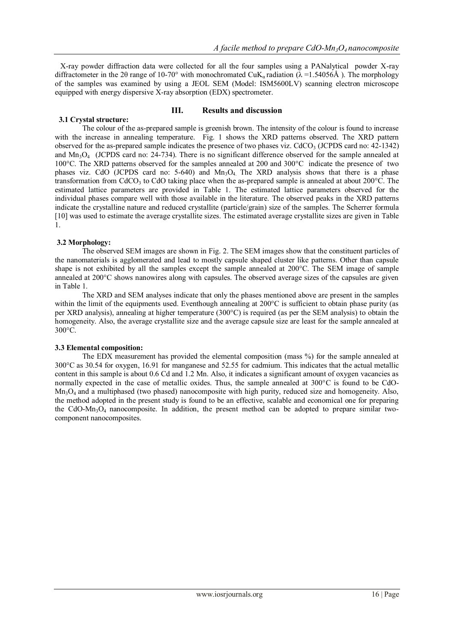X-ray powder diffraction data were collected for all the four samples using a PANalytical powder X-ray diffractometer in the 20 range of 10-70° with monochromated CuK<sub>a</sub> radiation ( $\lambda$  =1.54056Å). The morphology of the samples was examined by using a JEOL SEM (Model: ISM5600LV) scanning electron microscope equipped with energy dispersive X-ray absorption (EDX) spectrometer.

#### **III. Results and discussion**

 **3.1 Crystal structure:** The colour of the as-prepared sample is greenish brown. The intensity of the colour is found to increase with the increase in annealing temperature. Fig. 1 shows the XRD patterns observed. The XRD pattern observed for the as-prepared sample indicates the presence of two phases viz. CdCO<sub>3</sub> (JCPDS card no:  $42$ -1342) and Mn3O4 (JCPDS card no: 24-734). There is no significant difference observed for the sample annealed at 100°C. The XRD patterns observed for the samples annealed at 200 and 300°C indicate the presence of two phases viz. CdO (JCPDS card no:  $5-640$ ) and  $Mn<sub>3</sub>O<sub>4</sub>$ . The XRD analysis shows that there is a phase transformation from CdCO<sub>3</sub> to CdO taking place when the as-prepared sample is annealed at about 200 $^{\circ}$ C. The estimated lattice parameters are provided in Table 1. The estimated lattice parameters observed for the individual phases compare well with those available in the literature. The observed peaks in the XRD patterns indicate the crystalline nature and reduced crystallite (particle/grain) size of the samples. The Scherrer formula [10] was used to estimate the average crystallite sizes. The estimated average crystallite sizes are given in Table 1.

### **3.2 Morphology:**

 The observed SEM images are shown in Fig. 2. The SEM images show that the constituent particles of the nanomaterials is agglomerated and lead to mostly capsule shaped cluster like patterns. Other than capsule shape is not exhibited by all the samples except the sample annealed at 200°C. The SEM image of sample annealed at 200°C shows nanowires along with capsules. The observed average sizes of the capsules are given in Table 1.

 The XRD and SEM analyses indicate that only the phases mentioned above are present in the samples within the limit of the equipments used. Eventhough annealing at 200°C is sufficient to obtain phase purity (as per XRD analysis), annealing at higher temperature (300°C) is required (as per the SEM analysis) to obtain the homogeneity. Also, the average crystallite size and the average capsule size are least for the sample annealed at 300°C.

### **3.3 Elemental composition:**

 The EDX measurement has provided the elemental composition (mass %) for the sample annealed at 300°C as 30.54 for oxygen, 16.91 for manganese and 52.55 for cadmium. This indicates that the actual metallic content in this sample is about 0.6 Cd and 1.2 Mn. Also, it indicates a significant amount of oxygen vacancies as normally expected in the case of metallic oxides. Thus, the sample annealed at 300°C is found to be CdO- $Mn_3O_4$  and a multiphased (two phased) nanocomposite with high purity, reduced size and homogeneity. Also, the method adopted in the present study is found to be an effective, scalable and economical one for preparing the CdO-Mn<sub>3</sub>O<sub>4</sub> nanocomposite. In addition, the present method can be adopted to prepare similar twocomponent nanocomposites.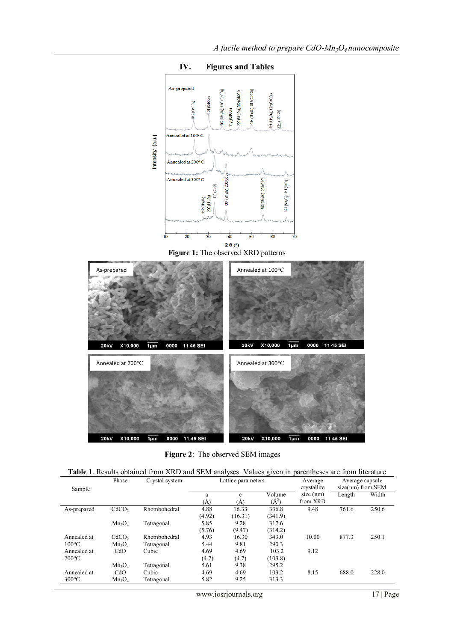

**IV. Figures and Tables**

**Figure 2**: The observed SEM images

**20kV** 

X10,000

 $\frac{1}{1}$ 

0000

11 45 SEI

X10,000

**20kV** 

 $\frac{1}{1}$ 

0000 11 45 SEI

|  | <b>Table 1.</b> Results obtained from XRD and SEM analyses. Values given in parentheses are from literature |  |  |
|--|-------------------------------------------------------------------------------------------------------------|--|--|
|  |                                                                                                             |  |  |

| Sample                         | Phase                          | Crystal system             | Lattice parameters |                  |                     | Average<br>crystallite  | Average capsule<br>$size(nm)$ from SEM |       |
|--------------------------------|--------------------------------|----------------------------|--------------------|------------------|---------------------|-------------------------|----------------------------------------|-------|
|                                |                                |                            | a<br>(Ă)           | c<br>(Ă)         | Volume<br>$(\AA^3)$ | $size$ (nm)<br>from XRD | Length                                 | Width |
| As-prepared                    | CdCO <sub>3</sub>              | Rhombohedral               | 4.88<br>(4.92)     | 16.33<br>(16.31) | 336.8<br>(341.9)    | 9.48                    | 761.6                                  | 250.6 |
|                                | $Mn_3O_4$                      | Tetragonal                 | 5.85<br>(5.76)     | 9.28<br>(9.47)   | 317.6<br>(314.2)    |                         |                                        |       |
| Annealed at<br>$100^{\circ}$ C | CdCO <sub>3</sub><br>$Mn_3O_4$ | Rhombohedral<br>Tetragonal | 4.93<br>5.44       | 16.30<br>9.81    | 343.0<br>290.3      | 10.00                   | 877.3                                  | 250.1 |
| Annealed at<br>$200^{\circ}$ C | CdO                            | Cubic                      | 4.69<br>(4.7)      | 4.69<br>(4.7)    | 103.2<br>(103.8)    | 9.12                    |                                        |       |
|                                | $Mn_3O_4$                      | Tetragonal                 | 5.61               | 9.38             | 295.2               |                         |                                        |       |
| Annealed at<br>$300^{\circ}$ C | CdO<br>$Mn_3O_4$               | Cubic<br>Tetragonal        | 4.69<br>5.82       | 4.69<br>9.25     | 103.2<br>313.3      | 8.15                    | 688.0                                  | 228.0 |

www.iosrjournals.org 17 | Page